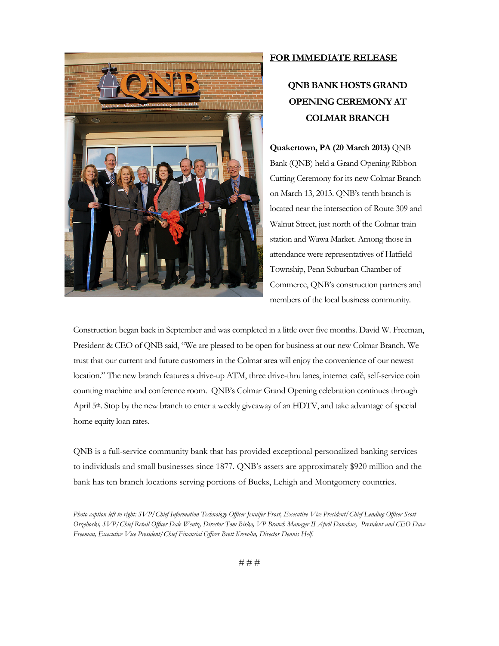

## **FOR IMMEDIATE RELEASE**

## **QNB BANK HOSTS GRAND OPENING CEREMONY AT COLMAR BRANCH**

**Quakertown, PA (20 March 2013)** QNB Bank (QNB) held a Grand Opening Ribbon Cutting Ceremony for its new Colmar Branch on March 13, 2013. QNB's tenth branch is located near the intersection of Route 309 and Walnut Street, just north of the Colmar train station and Wawa Market. Among those in attendance were representatives of Hatfield Township, Penn Suburban Chamber of Commerce, QNB's construction partners and members of the local business community.

Construction began back in September and was completed in a little over five months. David W. Freeman, President & CEO of QNB said, "We are pleased to be open for business at our new Colmar Branch. We trust that our current and future customers in the Colmar area will enjoy the convenience of our newest location." The new branch features a drive-up ATM, three drive-thru lanes, internet café, self-service coin counting machine and conference room. QNB's Colmar Grand Opening celebration continues through April 5<sup>th</sup>. Stop by the new branch to enter a weekly giveaway of an HDTV, and take advantage of special home equity loan rates.

QNB is a full-service community bank that has provided exceptional personalized banking services to individuals and small businesses since 1877. QNB's assets are approximately \$920 million and the bank has ten branch locations serving portions of Bucks, Lehigh and Montgomery countries.

*Photo caption left to right: SVP/Chief Information Technology Officer Jennifer Frost, Executive Vice President/Chief Lending Officer Scott Orzehoski, SVP/Chief Retail Officer Dale Wentz, Director Tom Bisko, VP Branch Manager II April Donahue, President and CEO Dave Freeman, Executive Vice President/Chief Financial Officer Brett Krevolin, Director Dennis Helf.*